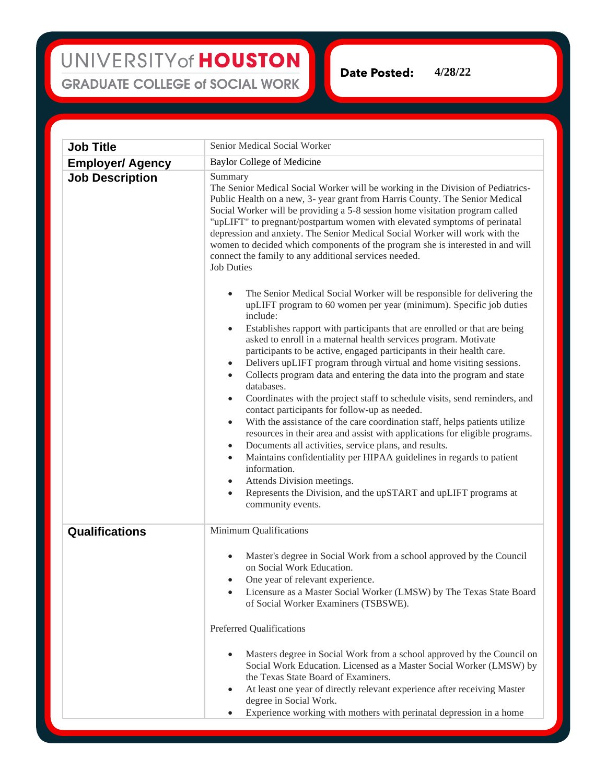## UNIVERSITY of HOUSTON **GRADUATE COLLEGE of SOCIAL WORK**

**Date Posted: 4/28/22**

**Job Title** Senior Medical Social Worker **Employer/ Agency** Baylor College of Medicine **Job Description** Summary The Senior Medical Social Worker will be working in the Division of Pediatrics-Public Health on a new, 3- year grant from Harris County. The Senior Medical Social Worker will be providing a 5-8 session home visitation program called "upLIFT" to pregnant/postpartum women with elevated symptoms of perinatal depression and anxiety. The Senior Medical Social Worker will work with the women to decided which components of the program she is interested in and will connect the family to any additional services needed. Job Duties • The Senior Medical Social Worker will be responsible for delivering the upLIFT program to 60 women per year (minimum). Specific job duties include: Establishes rapport with participants that are enrolled or that are being asked to enroll in a maternal health services program. Motivate participants to be active, engaged participants in their health care. • Delivers upLIFT program through virtual and home visiting sessions. • Collects program data and entering the data into the program and state databases. • Coordinates with the project staff to schedule visits, send reminders, and contact participants for follow-up as needed. With the assistance of the care coordination staff, helps patients utilize resources in their area and assist with applications for eligible programs. • Documents all activities, service plans, and results. • Maintains confidentiality per HIPAA guidelines in regards to patient information. Attends Division meetings. • Represents the Division, and the upSTART and upLIFT programs at community events. **Qualifications** Minimum Qualifications • Master's degree in Social Work from a school approved by the Council on Social Work Education. One year of relevant experience. • Licensure as a Master Social Worker (LMSW) by The Texas State Board of Social Worker Examiners (TSBSWE). Preferred Qualifications Masters degree in Social Work from a school approved by the Council on Social Work Education. Licensed as a Master Social Worker (LMSW) by the Texas State Board of Examiners. At least one year of directly relevant experience after receiving Master degree in Social Work. Experience working with mothers with perinatal depression in a home